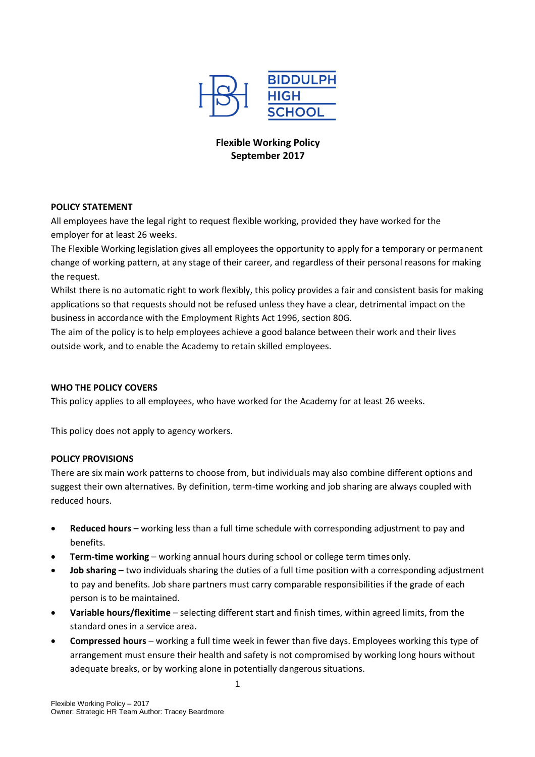

# **Flexible Working Policy September 2017**

### **POLICY STATEMENT**

All employees have the legal right to request flexible working, provided they have worked for the employer for at least 26 weeks.

The Flexible Working legislation gives all employees the opportunity to apply for a temporary or permanent change of working pattern, at any stage of their career, and regardless of their personal reasons for making the request.

Whilst there is no automatic right to work flexibly, this policy provides a fair and consistent basis for making applications so that requests should not be refused unless they have a clear, detrimental impact on the business in accordance with the Employment Rights Act 1996, section 80G.

The aim of the policy is to help employees achieve a good balance between their work and their lives outside work, and to enable the Academy to retain skilled employees.

# **WHO THE POLICY COVERS**

This policy applies to all employees, who have worked for the Academy for at least 26 weeks.

This policy does not apply to agency workers.

#### **POLICY PROVISIONS**

There are six main work patterns to choose from, but individuals may also combine different options and suggest their own alternatives. By definition, term-time working and job sharing are always coupled with reduced hours.

- **•** Reduced hours working less than a full time schedule with corresponding adjustment to pay and benefits.
- **Term-time working**  working annual hours during school or college term timesonly.
- **Job sharing**  two individuals sharing the duties of a full time position with a corresponding adjustment to pay and benefits. Job share partners must carry comparable responsibilities if the grade of each person is to be maintained.
- **Variable hours/flexitime**  selecting different start and finish times, within agreed limits, from the standard ones in a service area.
- **Compressed hours**  working a full time week in fewer than five days. Employees working this type of arrangement must ensure their health and safety is not compromised by working long hours without adequate breaks, or by working alone in potentially dangerous situations.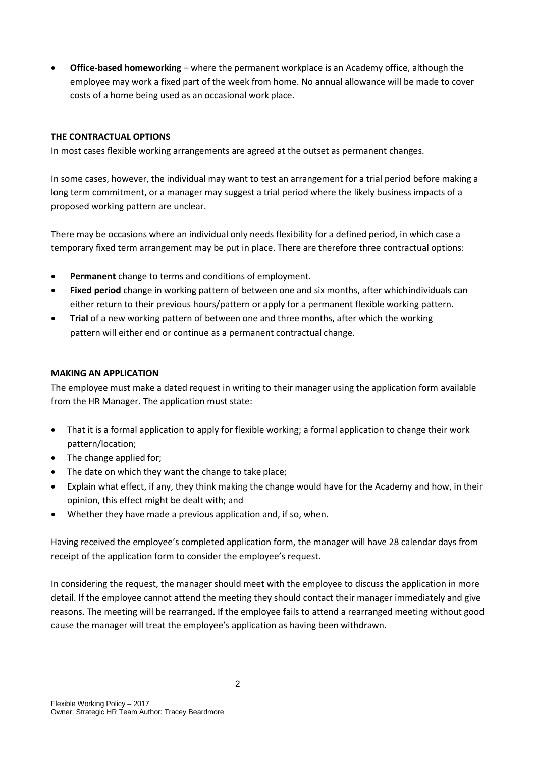**Office-based homeworking** – where the permanent workplace is an Academy office, although the employee may work a fixed part of the week from home. No annual allowance will be made to cover costs of a home being used as an occasional work place.

# **THE CONTRACTUAL OPTIONS**

In most cases flexible working arrangements are agreed at the outset as permanent changes.

In some cases, however, the individual may want to test an arrangement for a trial period before making a long term commitment, or a manager may suggest a trial period where the likely business impacts of a proposed working pattern are unclear.

There may be occasions where an individual only needs flexibility for a defined period, in which case a temporary fixed term arrangement may be put in place. There are therefore three contractual options:

- **Permanent** change to terms and conditions of employment.
- **Fixed period** change in working pattern of between one and six months, after whichindividuals can either return to their previous hours/pattern or apply for a permanent flexible working pattern.
- **Trial** of a new working pattern of between one and three months, after which the working pattern will either end or continue as a permanent contractual change.

#### **MAKING AN APPLICATION**

The employee must make a dated request in writing to their manager using the application form available from the HR Manager. The application must state:

- That it is a formal application to apply for flexible working; a formal application to change their work pattern/location;
- The change applied for;
- The date on which they want the change to take place;
- Explain what effect, if any, they think making the change would have for the Academy and how, in their opinion, this effect might be dealt with; and
- Whether they have made a previous application and, if so, when.

Having received the employee's completed application form, the manager will have 28 calendar days from receipt of the application form to consider the employee's request.

In considering the request, the manager should meet with the employee to discuss the application in more detail. If the employee cannot attend the meeting they should contact their manager immediately and give reasons. The meeting will be rearranged. If the employee fails to attend a rearranged meeting without good cause the manager will treat the employee's application as having been withdrawn.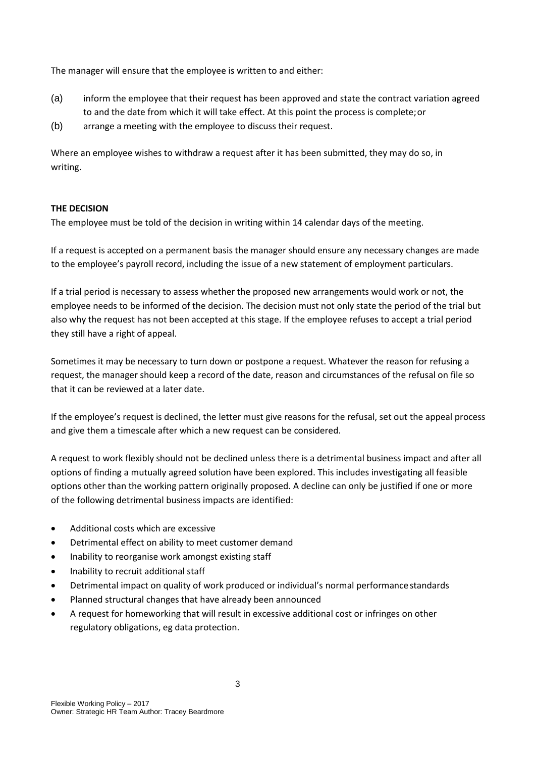The manager will ensure that the employee is written to and either:

- (a) inform the employee that their request has been approved and state the contract variation agreed to and the date from which it will take effect. At this point the process is complete;or
- (b) arrange a meeting with the employee to discuss their request.

Where an employee wishes to withdraw a request after it has been submitted, they may do so, in writing.

# **THE DECISION**

The employee must be told of the decision in writing within 14 calendar days of the meeting.

If a request is accepted on a permanent basis the manager should ensure any necessary changes are made to the employee's payroll record, including the issue of a new statement of employment particulars.

If a trial period is necessary to assess whether the proposed new arrangements would work or not, the employee needs to be informed of the decision. The decision must not only state the period of the trial but also why the request has not been accepted at this stage. If the employee refuses to accept a trial period they still have a right of appeal.

Sometimes it may be necessary to turn down or postpone a request. Whatever the reason for refusing a request, the manager should keep a record of the date, reason and circumstances of the refusal on file so that it can be reviewed at a later date.

If the employee's request is declined, the letter must give reasons for the refusal, set out the appeal process and give them a timescale after which a new request can be considered.

A request to work flexibly should not be declined unless there is a detrimental business impact and after all options of finding a mutually agreed solution have been explored. This includes investigating all feasible options other than the working pattern originally proposed. A decline can only be justified if one or more of the following detrimental business impacts are identified:

- Additional costs which are excessive
- Detrimental effect on ability to meet customer demand
- Inability to reorganise work amongst existing staff
- Inability to recruit additional staff
- Detrimental impact on quality of work produced or individual's normal performance standards
- Planned structural changes that have already been announced
- A request for homeworking that will result in excessive additional cost or infringes on other regulatory obligations, eg data protection.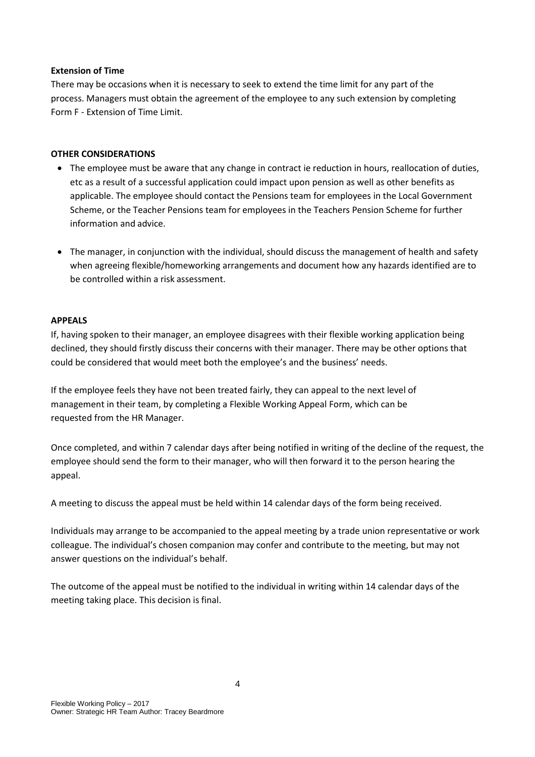### **Extension of Time**

There may be occasions when it is necessary to seek to extend the time limit for any part of the process. Managers must obtain the agreement of the employee to any such extension by completing Form F - Extension of Time Limit.

### **OTHER CONSIDERATIONS**

- The employee must be aware that any change in contract ie reduction in hours, reallocation of duties, etc as a result of a successful application could impact upon pension as well as other benefits as applicable. The employee should contact the Pensions team for employees in the Local Government Scheme, or the Teacher Pensions team for employees in the Teachers Pension Scheme for further information and advice.
- The manager, in conjunction with the individual, should discuss the management of health and safety when agreeing flexible/homeworking arrangements and document how any hazards identified are to be controlled within a risk assessment.

#### **APPEALS**

If, having spoken to their manager, an employee disagrees with their flexible working application being declined, they should firstly discuss their concerns with their manager. There may be other options that could be considered that would meet both the employee's and the business' needs.

If the employee feels they have not been treated fairly, they can appeal to the next level of management in their team, by completing a Flexible Working Appeal Form, which can be requested from the HR Manager.

Once completed, and within 7 calendar days after being notified in writing of the decline of the request, the employee should send the form to their manager, who will then forward it to the person hearing the appeal.

A meeting to discuss the appeal must be held within 14 calendar days of the form being received.

Individuals may arrange to be accompanied to the appeal meeting by a trade union representative or work colleague. The individual's chosen companion may confer and contribute to the meeting, but may not answer questions on the individual's behalf.

The outcome of the appeal must be notified to the individual in writing within 14 calendar days of the meeting taking place. This decision is final.